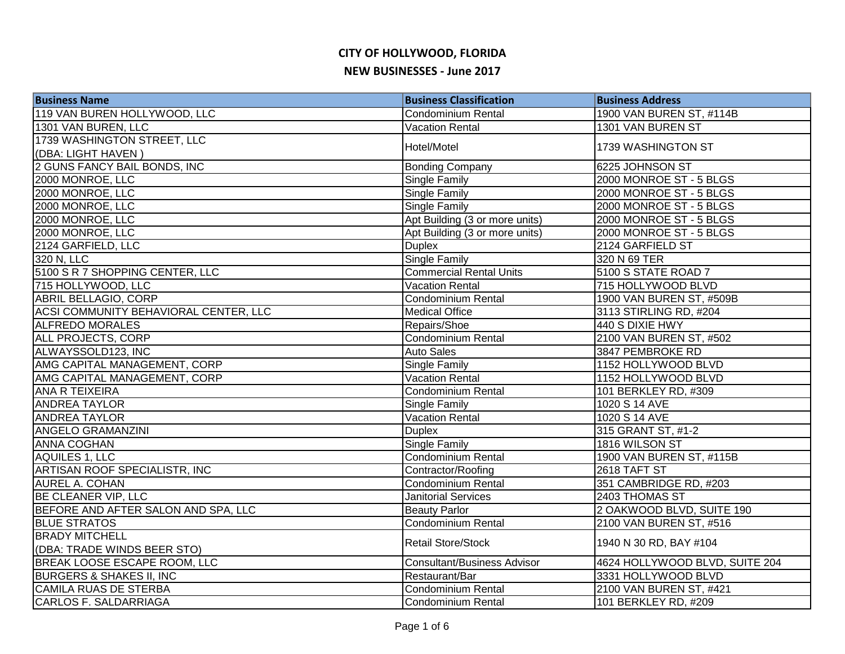| <b>Business Name</b>                  | <b>Business Classification</b> | <b>Business Address</b>        |
|---------------------------------------|--------------------------------|--------------------------------|
| 119 VAN BUREN HOLLYWOOD, LLC          | <b>Condominium Rental</b>      | 1900 VAN BUREN ST, #114B       |
| 1301 VAN BUREN, LLC                   | <b>Vacation Rental</b>         | 1301 VAN BUREN ST              |
| 1739 WASHINGTON STREET, LLC           | Hotel/Motel                    | 1739 WASHINGTON ST             |
| (DBA: LIGHT HAVEN)                    |                                |                                |
| 2 GUNS FANCY BAIL BONDS, INC          | <b>Bonding Company</b>         | 6225 JOHNSON ST                |
| 2000 MONROE, LLC                      | <b>Single Family</b>           | 2000 MONROE ST - 5 BLGS        |
| 2000 MONROE, LLC                      | Single Family                  | 2000 MONROE ST - 5 BLGS        |
| 2000 MONROE, LLC                      | <b>Single Family</b>           | 2000 MONROE ST - 5 BLGS        |
| 2000 MONROE, LLC                      | Apt Building (3 or more units) | 2000 MONROE ST - 5 BLGS        |
| 2000 MONROE, LLC                      | Apt Building (3 or more units) | 2000 MONROE ST - 5 BLGS        |
| 2124 GARFIELD, LLC                    | <b>Duplex</b>                  | 2124 GARFIELD ST               |
| 320 N, LLC                            | Single Family                  | 320 N 69 TER                   |
| 5100 S R 7 SHOPPING CENTER, LLC       | <b>Commercial Rental Units</b> | 5100 S STATE ROAD 7            |
| 715 HOLLYWOOD, LLC                    | <b>Vacation Rental</b>         | 715 HOLLYWOOD BLVD             |
| <b>ABRIL BELLAGIO, CORP</b>           | Condominium Rental             | 1900 VAN BUREN ST, #509B       |
| ACSI COMMUNITY BEHAVIORAL CENTER, LLC | <b>Medical Office</b>          | 3113 STIRLING RD, #204         |
| <b>ALFREDO MORALES</b>                | Repairs/Shoe                   | 440 S DIXIE HWY                |
| ALL PROJECTS, CORP                    | Condominium Rental             | 2100 VAN BUREN ST, #502        |
| ALWAYSSOLD123, INC                    | <b>Auto Sales</b>              | 3847 PEMBROKE RD               |
| AMG CAPITAL MANAGEMENT, CORP          | Single Family                  | 1152 HOLLYWOOD BLVD            |
| AMG CAPITAL MANAGEMENT, CORP          | <b>Vacation Rental</b>         | 1152 HOLLYWOOD BLVD            |
| <b>ANA R TEIXEIRA</b>                 | <b>Condominium Rental</b>      | 101 BERKLEY RD, #309           |
| <b>ANDREA TAYLOR</b>                  | Single Family                  | 1020 S 14 AVE                  |
| <b>ANDREA TAYLOR</b>                  | <b>Vacation Rental</b>         | 1020 S 14 AVE                  |
| <b>ANGELO GRAMANZINI</b>              | <b>Duplex</b>                  | 315 GRANT ST, #1-2             |
| <b>ANNA COGHAN</b>                    | <b>Single Family</b>           | 1816 WILSON ST                 |
| AQUILES 1, LLC                        | <b>Condominium Rental</b>      | 1900 VAN BUREN ST, #115B       |
| ARTISAN ROOF SPECIALISTR, INC         | Contractor/Roofing             | 2618 TAFT ST                   |
| <b>AUREL A. COHAN</b>                 | Condominium Rental             | 351 CAMBRIDGE RD, #203         |
| BE CLEANER VIP, LLC                   | <b>Janitorial Services</b>     | 2403 THOMAS ST                 |
| BEFORE AND AFTER SALON AND SPA, LLC   | <b>Beauty Parlor</b>           | 2 OAKWOOD BLVD, SUITE 190      |
| <b>BLUE STRATOS</b>                   | Condominium Rental             | 2100 VAN BUREN ST, #516        |
| <b>BRADY MITCHELL</b>                 | Retail Store/Stock             |                                |
| (DBA: TRADE WINDS BEER STO)           |                                | 1940 N 30 RD, BAY #104         |
| BREAK LOOSE ESCAPE ROOM, LLC          | Consultant/Business Advisor    | 4624 HOLLYWOOD BLVD, SUITE 204 |
| <b>BURGERS &amp; SHAKES II, INC</b>   | Restaurant/Bar                 | 3331 HOLLYWOOD BLVD            |
| CAMILA RUAS DE STERBA                 | Condominium Rental             | 2100 VAN BUREN ST, #421        |
| CARLOS F. SALDARRIAGA                 | <b>Condominium Rental</b>      | 101 BERKLEY RD, #209           |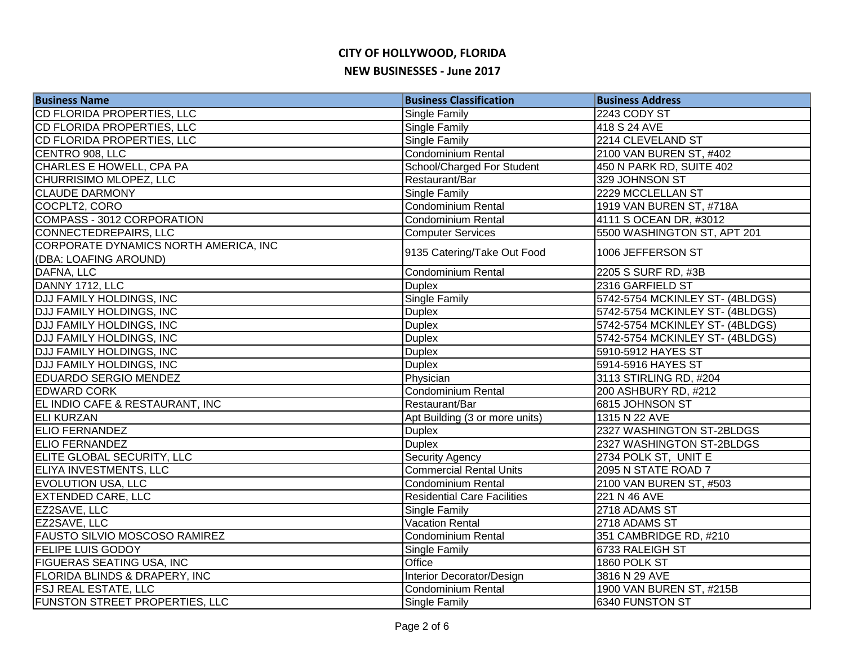| <b>Business Name</b>                                           | <b>Business Classification</b>     | <b>Business Address</b>         |
|----------------------------------------------------------------|------------------------------------|---------------------------------|
| CD FLORIDA PROPERTIES, LLC                                     | Single Family                      | 2243 CODY ST                    |
| <b>CD FLORIDA PROPERTIES, LLC</b>                              | Single Family                      | 418 S 24 AVE                    |
| CD FLORIDA PROPERTIES, LLC                                     | <b>Single Family</b>               | 2214 CLEVELAND ST               |
| CENTRO 908, LLC                                                | <b>Condominium Rental</b>          | 2100 VAN BUREN ST, #402         |
| CHARLES E HOWELL, CPA PA                                       | School/Charged For Student         | 450 N PARK RD, SUITE 402        |
| CHURRISIMO MLOPEZ, LLC                                         | Restaurant/Bar                     | 329 JOHNSON ST                  |
| <b>CLAUDE DARMONY</b>                                          | Single Family                      | 2229 MCCLELLAN ST               |
| COCPLT2, CORO                                                  | <b>Condominium Rental</b>          | 1919 VAN BUREN ST, #718A        |
| COMPASS - 3012 CORPORATION                                     | <b>Condominium Rental</b>          | 4111 S OCEAN DR, #3012          |
| <b>CONNECTEDREPAIRS, LLC</b>                                   | <b>Computer Services</b>           | 5500 WASHINGTON ST, APT 201     |
| CORPORATE DYNAMICS NORTH AMERICA, INC<br>(DBA: LOAFING AROUND) | 9135 Catering/Take Out Food        | 1006 JEFFERSON ST               |
| DAFNA, LLC                                                     | <b>Condominium Rental</b>          | 2205 S SURF RD, #3B             |
| DANNY 1712, LLC                                                | <b>Duplex</b>                      | 2316 GARFIELD ST                |
| <b>DJJ FAMILY HOLDINGS, INC</b>                                | <b>Single Family</b>               | 5742-5754 MCKINLEY ST- (4BLDGS) |
| <b>DJJ FAMILY HOLDINGS, INC</b>                                | <b>Duplex</b>                      | 5742-5754 MCKINLEY ST- (4BLDGS) |
| <b>DJJ FAMILY HOLDINGS, INC</b>                                | <b>Duplex</b>                      | 5742-5754 MCKINLEY ST- (4BLDGS) |
| <b>DJJ FAMILY HOLDINGS, INC</b>                                | <b>Duplex</b>                      | 5742-5754 MCKINLEY ST- (4BLDGS) |
| <b>DJJ FAMILY HOLDINGS, INC</b>                                | <b>Duplex</b>                      | 5910-5912 HAYES ST              |
| <b>DJJ FAMILY HOLDINGS, INC</b>                                | <b>Duplex</b>                      | 5914-5916 HAYES ST              |
| <b>EDUARDO SERGIO MENDEZ</b>                                   | Physician                          | 3113 STIRLING RD, #204          |
| <b>EDWARD CORK</b>                                             | <b>Condominium Rental</b>          | 200 ASHBURY RD, #212            |
| EL INDIO CAFE & RESTAURANT, INC                                | Restaurant/Bar                     | 6815 JOHNSON ST                 |
| <b>ELI KURZAN</b>                                              | Apt Building (3 or more units)     | 1315 N 22 AVE                   |
| <b>ELIO FERNANDEZ</b>                                          | <b>Duplex</b>                      | 2327 WASHINGTON ST-2BLDGS       |
| <b>ELIO FERNANDEZ</b>                                          | <b>Duplex</b>                      | 2327 WASHINGTON ST-2BLDGS       |
| <b>ELITE GLOBAL SECURITY, LLC</b>                              | <b>Security Agency</b>             | 2734 POLK ST, UNIT E            |
| ELIYA INVESTMENTS, LLC                                         | <b>Commercial Rental Units</b>     | 2095 N STATE ROAD 7             |
| <b>EVOLUTION USA, LLC</b>                                      | <b>Condominium Rental</b>          | 2100 VAN BUREN ST, #503         |
| <b>EXTENDED CARE, LLC</b>                                      | <b>Residential Care Facilities</b> | 221 N 46 AVE                    |
| EZ2SAVE, LLC                                                   | Single Family                      | 2718 ADAMS ST                   |
| EZ2SAVE, LLC                                                   | <b>Vacation Rental</b>             | 2718 ADAMS ST                   |
| <b>FAUSTO SILVIO MOSCOSO RAMIREZ</b>                           | <b>Condominium Rental</b>          | 351 CAMBRIDGE RD, #210          |
| <b>FELIPE LUIS GODOY</b>                                       | Single Family                      | 6733 RALEIGH ST                 |
| <b>FIGUERAS SEATING USA, INC</b>                               | Office                             | 1860 POLK ST                    |
| <b>FLORIDA BLINDS &amp; DRAPERY, INC</b>                       | Interior Decorator/Design          | 3816 N 29 AVE                   |
| <b>FSJ REAL ESTATE, LLC</b>                                    | <b>Condominium Rental</b>          | 1900 VAN BUREN ST, #215B        |
| FUNSTON STREET PROPERTIES, LLC                                 | Single Family                      | 6340 FUNSTON ST                 |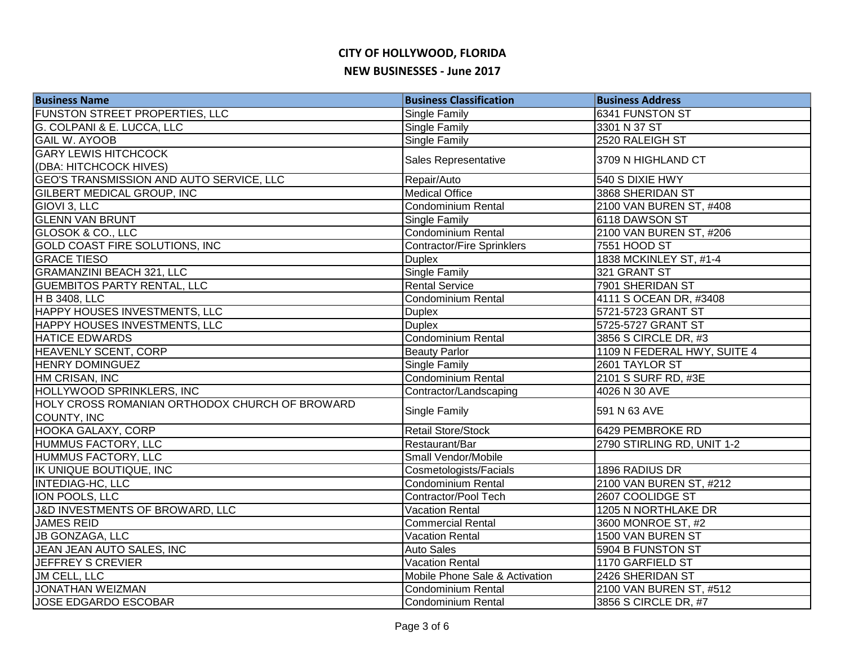| <b>Business Name</b>                                          | <b>Business Classification</b>    | <b>Business Address</b>     |
|---------------------------------------------------------------|-----------------------------------|-----------------------------|
| <b>FUNSTON STREET PROPERTIES, LLC</b>                         | <b>Single Family</b>              | 6341 FUNSTON ST             |
| G. COLPANI & E. LUCCA, LLC                                    | <b>Single Family</b>              | 3301 N 37 ST                |
| <b>GAIL W. AYOOB</b>                                          | <b>Single Family</b>              | 2520 RALEIGH ST             |
| <b>GARY LEWIS HITCHCOCK</b>                                   | Sales Representative              | 3709 N HIGHLAND CT          |
| (DBA: HITCHCOCK HIVES)                                        |                                   |                             |
| <b>GEO'S TRANSMISSION AND AUTO SERVICE, LLC</b>               | Repair/Auto                       | 540 S DIXIE HWY             |
| <b>GILBERT MEDICAL GROUP, INC</b>                             | <b>Medical Office</b>             | 3868 SHERIDAN ST            |
| GIOVI 3, LLC                                                  | Condominium Rental                | 2100 VAN BUREN ST, #408     |
| <b>GLENN VAN BRUNT</b>                                        | Single Family                     | 6118 DAWSON ST              |
| <b>GLOSOK &amp; CO., LLC</b>                                  | Condominium Rental                | 2100 VAN BUREN ST, #206     |
| GOLD COAST FIRE SOLUTIONS, INC                                | <b>Contractor/Fire Sprinklers</b> | 7551 HOOD ST                |
| <b>GRACE TIESO</b>                                            | <b>Duplex</b>                     | 1838 MCKINLEY ST, #1-4      |
| <b>GRAMANZINI BEACH 321, LLC</b>                              | <b>Single Family</b>              | 321 GRANT ST                |
| <b>GUEMBITOS PARTY RENTAL, LLC</b>                            | <b>Rental Service</b>             | 7901 SHERIDAN ST            |
| H B 3408, LLC                                                 | Condominium Rental                | 4111 S OCEAN DR, #3408      |
| <b>HAPPY HOUSES INVESTMENTS, LLC</b>                          | <b>Duplex</b>                     | 5721-5723 GRANT ST          |
| <b>HAPPY HOUSES INVESTMENTS, LLC</b>                          | <b>Duplex</b>                     | 5725-5727 GRANT ST          |
| <b>HATICE EDWARDS</b>                                         | Condominium Rental                | 3856 S CIRCLE DR, #3        |
| <b>HEAVENLY SCENT, CORP</b>                                   | <b>Beauty Parlor</b>              | 1109 N FEDERAL HWY, SUITE 4 |
| <b>HENRY DOMINGUEZ</b>                                        | <b>Single Family</b>              | 2601 TAYLOR ST              |
| HM CRISAN, INC                                                | <b>Condominium Rental</b>         | 2101 S SURF RD, #3E         |
| HOLLYWOOD SPRINKLERS, INC                                     | Contractor/Landscaping            | 4026 N 30 AVE               |
| HOLY CROSS ROMANIAN ORTHODOX CHURCH OF BROWARD<br>COUNTY, INC | Single Family                     | 591 N 63 AVE                |
| <b>HOOKA GALAXY, CORP</b>                                     | <b>Retail Store/Stock</b>         | 6429 PEMBROKE RD            |
| <b>HUMMUS FACTORY, LLC</b>                                    | Restaurant/Bar                    | 2790 STIRLING RD, UNIT 1-2  |
| HUMMUS FACTORY, LLC                                           | Small Vendor/Mobile               |                             |
| <b>IK UNIQUE BOUTIQUE, INC</b>                                | Cosmetologists/Facials            | 1896 RADIUS DR              |
| <b>INTEDIAG-HC, LLC</b>                                       | Condominium Rental                | 2100 VAN BUREN ST, #212     |
| ION POOLS, LLC                                                | Contractor/Pool Tech              | 2607 COOLIDGE ST            |
| J&D INVESTMENTS OF BROWARD, LLC                               | <b>Vacation Rental</b>            | 1205 N NORTHLAKE DR         |
| <b>JAMES REID</b>                                             | <b>Commercial Rental</b>          | 3600 MONROE ST, #2          |
| JB GONZAGA, LLC                                               | <b>Vacation Rental</b>            | 1500 VAN BUREN ST           |
| JEAN JEAN AUTO SALES, INC                                     | <b>Auto Sales</b>                 | 5904 B FUNSTON ST           |
| <b>JEFFREY S CREVIER</b>                                      | <b>Vacation Rental</b>            | 1170 GARFIELD ST            |
| JM CELL, LLC                                                  | Mobile Phone Sale & Activation    | 2426 SHERIDAN ST            |
| <b>JONATHAN WEIZMAN</b>                                       | Condominium Rental                | 2100 VAN BUREN ST, #512     |
| JOSE EDGARDO ESCOBAR                                          | Condominium Rental                | 3856 S CIRCLE DR, #7        |
|                                                               |                                   |                             |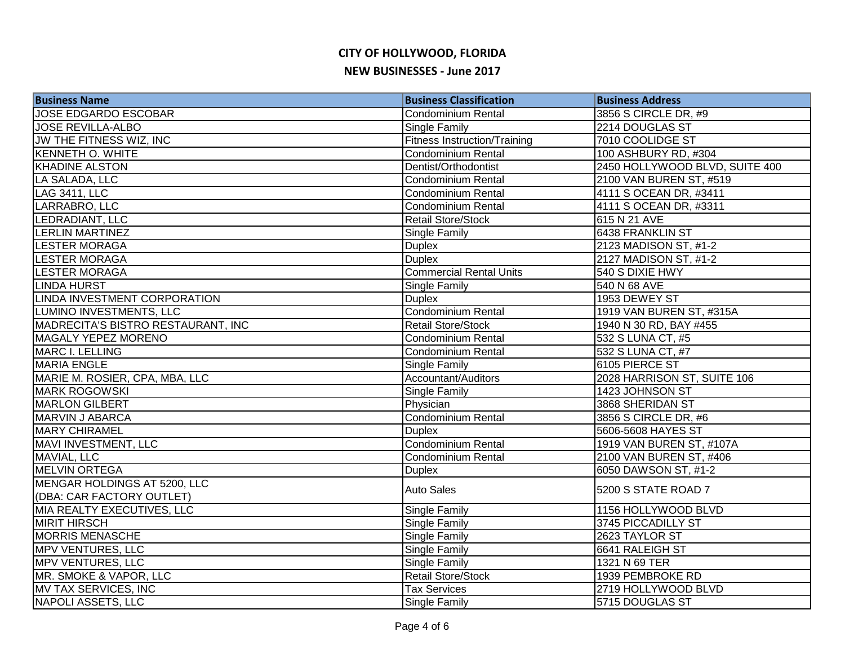| <b>Business Name</b>               | <b>Business Classification</b>      | <b>Business Address</b>        |
|------------------------------------|-------------------------------------|--------------------------------|
| JOSE EDGARDO ESCOBAR               | <b>Condominium Rental</b>           | 3856 S CIRCLE DR, #9           |
| <b>JOSE REVILLA-ALBO</b>           | Single Family                       | 2214 DOUGLAS ST                |
| JW THE FITNESS WIZ, INC            | <b>Fitness Instruction/Training</b> | 7010 COOLIDGE ST               |
| <b>KENNETH O. WHITE</b>            | <b>Condominium Rental</b>           | 100 ASHBURY RD, #304           |
| <b>KHADINE ALSTON</b>              | Dentist/Orthodontist                | 2450 HOLLYWOOD BLVD, SUITE 400 |
| LA SALADA, LLC                     | <b>Condominium Rental</b>           | 2100 VAN BUREN ST, #519        |
| <b>LAG 3411, LLC</b>               | <b>Condominium Rental</b>           | 4111 S OCEAN DR, #3411         |
| LARRABRO, LLC                      | Condominium Rental                  | 4111 S OCEAN DR, #3311         |
| LEDRADIANT, LLC                    | <b>Retail Store/Stock</b>           | 615 N 21 AVE                   |
| <b>LERLIN MARTINEZ</b>             | Single Family                       | 6438 FRANKLIN ST               |
| <b>LESTER MORAGA</b>               | <b>Duplex</b>                       | 2123 MADISON ST, #1-2          |
| <b>LESTER MORAGA</b>               | <b>Duplex</b>                       | 2127 MADISON ST, #1-2          |
| <b>LESTER MORAGA</b>               | <b>Commercial Rental Units</b>      | 540 S DIXIE HWY                |
| <b>LINDA HURST</b>                 | Single Family                       | 540 N 68 AVE                   |
| LINDA INVESTMENT CORPORATION       | <b>Duplex</b>                       | 1953 DEWEY ST                  |
| LUMINO INVESTMENTS, LLC            | Condominium Rental                  | 1919 VAN BUREN ST, #315A       |
| MADRECITA'S BISTRO RESTAURANT, INC | Retail Store/Stock                  | 1940 N 30 RD, BAY #455         |
| MAGALY YEPEZ MORENO                | <b>Condominium Rental</b>           | 532 S LUNA CT, #5              |
| MARC I. LELLING                    | Condominium Rental                  | 532 S LUNA CT, #7              |
| <b>MARIA ENGLE</b>                 | Single Family                       | 6105 PIERCE ST                 |
| MARIE M. ROSIER, CPA, MBA, LLC     | Accountant/Auditors                 | 2028 HARRISON ST, SUITE 106    |
| <b>MARK ROGOWSKI</b>               | <b>Single Family</b>                | 1423 JOHNSON ST                |
| <b>MARLON GILBERT</b>              | Physician                           | 3868 SHERIDAN ST               |
| <b>MARVIN J ABARCA</b>             | <b>Condominium Rental</b>           | 3856 S CIRCLE DR, #6           |
| <b>MARY CHIRAMEL</b>               | <b>Duplex</b>                       | 5606-5608 HAYES ST             |
| MAVI INVESTMENT, LLC               | <b>Condominium Rental</b>           | 1919 VAN BUREN ST, #107A       |
| MAVIAL, LLC                        | Condominium Rental                  | 2100 VAN BUREN ST, #406        |
| <b>MELVIN ORTEGA</b>               | <b>Duplex</b>                       | 6050 DAWSON ST, #1-2           |
| MENGAR HOLDINGS AT 5200, LLC       | <b>Auto Sales</b>                   | 5200 S STATE ROAD 7            |
| (DBA: CAR FACTORY OUTLET)          |                                     |                                |
| MIA REALTY EXECUTIVES, LLC         | Single Family                       | 1156 HOLLYWOOD BLVD            |
| <b>MIRIT HIRSCH</b>                | Single Family                       | 3745 PICCADILLY ST             |
| <b>MORRIS MENASCHE</b>             | <b>Single Family</b>                | 2623 TAYLOR ST                 |
| MPV VENTURES, LLC                  | Single Family                       | 6641 RALEIGH ST                |
| MPV VENTURES, LLC                  | <b>Single Family</b>                | 1321 N 69 TER                  |
| MR. SMOKE & VAPOR, LLC             | Retail Store/Stock                  | 1939 PEMBROKE RD               |
| <b>MV TAX SERVICES, INC</b>        | <b>Tax Services</b>                 | 2719 HOLLYWOOD BLVD            |
| NAPOLI ASSETS, LLC                 | Single Family                       | 5715 DOUGLAS ST                |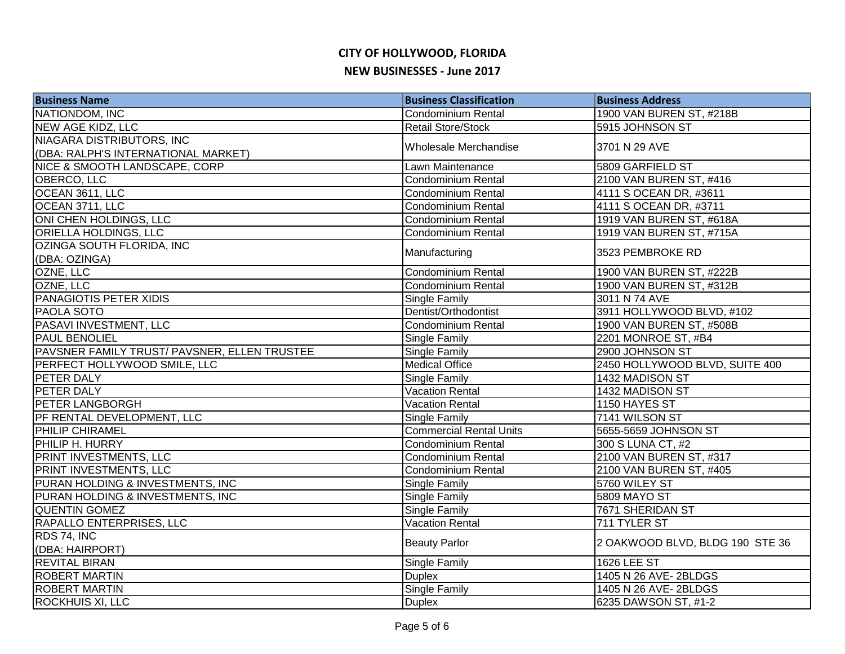| <b>Business Name</b>                         | <b>Business Classification</b> | <b>Business Address</b>         |
|----------------------------------------------|--------------------------------|---------------------------------|
| NATIONDOM, INC                               | <b>Condominium Rental</b>      | 1900 VAN BUREN ST, #218B        |
| <b>NEW AGE KIDZ, LLC</b>                     | Retail Store/Stock             | 5915 JOHNSON ST                 |
| NIAGARA DISTRIBUTORS, INC                    | Wholesale Merchandise          | 3701 N 29 AVE                   |
| (DBA: RALPH'S INTERNATIONAL MARKET)          |                                |                                 |
| NICE & SMOOTH LANDSCAPE, CORP                | Lawn Maintenance               | 5809 GARFIELD ST                |
| OBERCO, LLC                                  | Condominium Rental             | 2100 VAN BUREN ST, #416         |
| OCEAN 3611, LLC                              | Condominium Rental             | 4111 S OCEAN DR, #3611          |
| OCEAN 3711, LLC                              | Condominium Rental             | 4111 S OCEAN DR, #3711          |
| ONI CHEN HOLDINGS, LLC                       | Condominium Rental             | 1919 VAN BUREN ST, #618A        |
| ORIELLA HOLDINGS, LLC                        | <b>Condominium Rental</b>      | 1919 VAN BUREN ST, #715A        |
| OZINGA SOUTH FLORIDA, INC                    |                                | 3523 PEMBROKE RD                |
| (DBA: OZINGA)                                | Manufacturing                  |                                 |
| OZNE, LLC                                    | <b>Condominium Rental</b>      | 1900 VAN BUREN ST, #222B        |
| OZNE, LLC                                    | <b>Condominium Rental</b>      | 1900 VAN BUREN ST, #312B        |
| PANAGIOTIS PETER XIDIS                       | <b>Single Family</b>           | 3011 N 74 AVE                   |
| <b>PAOLA SOTO</b>                            | Dentist/Orthodontist           | 3911 HOLLYWOOD BLVD, #102       |
| PASAVI INVESTMENT, LLC                       | <b>Condominium Rental</b>      | 1900 VAN BUREN ST, #508B        |
| PAUL BENOLIEL                                | Single Family                  | 2201 MONROE ST, #B4             |
| PAVSNER FAMILY TRUST/ PAVSNER, ELLEN TRUSTEE | Single Family                  | 2900 JOHNSON ST                 |
| PERFECT HOLLYWOOD SMILE, LLC                 | <b>Medical Office</b>          | 2450 HOLLYWOOD BLVD, SUITE 400  |
| PETER DALY                                   | Single Family                  | 1432 MADISON ST                 |
| PETER DALY                                   | <b>Vacation Rental</b>         | 1432 MADISON ST                 |
| PETER LANGBORGH                              | <b>Vacation Rental</b>         | 1150 HAYES ST                   |
| PF RENTAL DEVELOPMENT, LLC                   | Single Family                  | 7141 WILSON ST                  |
| <b>PHILIP CHIRAMEL</b>                       | <b>Commercial Rental Units</b> | 5655-5659 JOHNSON ST            |
| PHILIP H. HURRY                              | <b>Condominium Rental</b>      | 300 S LUNA CT, #2               |
| PRINT INVESTMENTS, LLC                       | <b>Condominium Rental</b>      | 2100 VAN BUREN ST, #317         |
| PRINT INVESTMENTS, LLC                       | <b>Condominium Rental</b>      | 2100 VAN BUREN ST, #405         |
| PURAN HOLDING & INVESTMENTS, INC             | Single Family                  | 5760 WILEY ST                   |
| PURAN HOLDING & INVESTMENTS, INC             | Single Family                  | <b>5809 MAYO ST</b>             |
| <b>QUENTIN GOMEZ</b>                         | Single Family                  | 7671 SHERIDAN ST                |
| RAPALLO ENTERPRISES, LLC                     | <b>Vacation Rental</b>         | 711 TYLER ST                    |
| RDS 74, INC                                  |                                |                                 |
| (DBA: HAIRPORT)                              | <b>Beauty Parlor</b>           | 2 OAKWOOD BLVD, BLDG 190 STE 36 |
| <b>REVITAL BIRAN</b>                         | Single Family                  | 1626 LEE ST                     |
| <b>ROBERT MARTIN</b>                         | <b>Duplex</b>                  | 1405 N 26 AVE-2BLDGS            |
| <b>ROBERT MARTIN</b>                         | <b>Single Family</b>           | 1405 N 26 AVE-2BLDGS            |
| <b>ROCKHUIS XI, LLC</b>                      | <b>Duplex</b>                  | 6235 DAWSON ST, #1-2            |